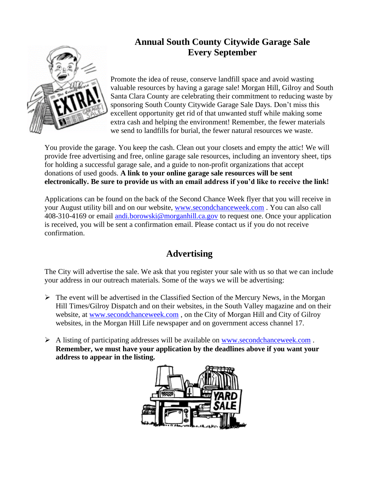

## **Annual South County Citywide Garage Sale Every September**

Promote the idea of reuse, conserve landfill space and avoid wasting valuable resources by having a garage sale! Morgan Hill, Gilroy and South Santa Clara County are celebrating their commitment to reducing waste by sponsoring South County Citywide Garage Sale Days. Don't miss this excellent opportunity get rid of that unwanted stuff while making some extra cash and helping the environment! Remember, the fewer materials we send to landfills for burial, the fewer natural resources we waste.

You provide the garage. You keep the cash. Clean out your closets and empty the attic! We will provide free advertising and free, online garage sale resources, including an inventory sheet, tips for holding a successful garage sale, and a guide to non-profit organizations that accept donations of used goods. **A link to your online garage sale resources will be sent electronically. Be sure to provide us with an email address if you'd like to receive the link!**

Applications can be found on the back of the Second Chance Week flyer that you will receive in your August utility bill and on our website, [www.secondchanceweek.com](http://www.secondchanceweek.com/) . You can also call 408-310-4169 or email [andi.borowski@morganhill.ca.gov](mailto:andi.borowski@morganhill.ca.gov) to request one. Once your application is received, you will be sent a confirmation email. Please contact us if you do not receive confirmation.

## **Advertising**

The City will advertise the sale. We ask that you register your sale with us so that we can include your address in our outreach materials. Some of the ways we will be advertising:

- $\triangleright$  The event will be advertised in the Classified Section of the Mercury News, in the Morgan Hill Times/Gilroy Dispatch and on their websites, in the South Valley magazine and on their website, at [www.secondchanceweek.com](http://www.secondchanceweek.com/) , on the City of Morgan Hill and City of Gilroy websites, in the Morgan Hill Life newspaper and on government access channel 17.
- $\triangleright$  A listing of participating addresses will be available on [www.secondchanceweek.com](http://www.secondchanceweek.com/). **Remember, we must have your application by the deadlines above if you want your address to appear in the listing.**